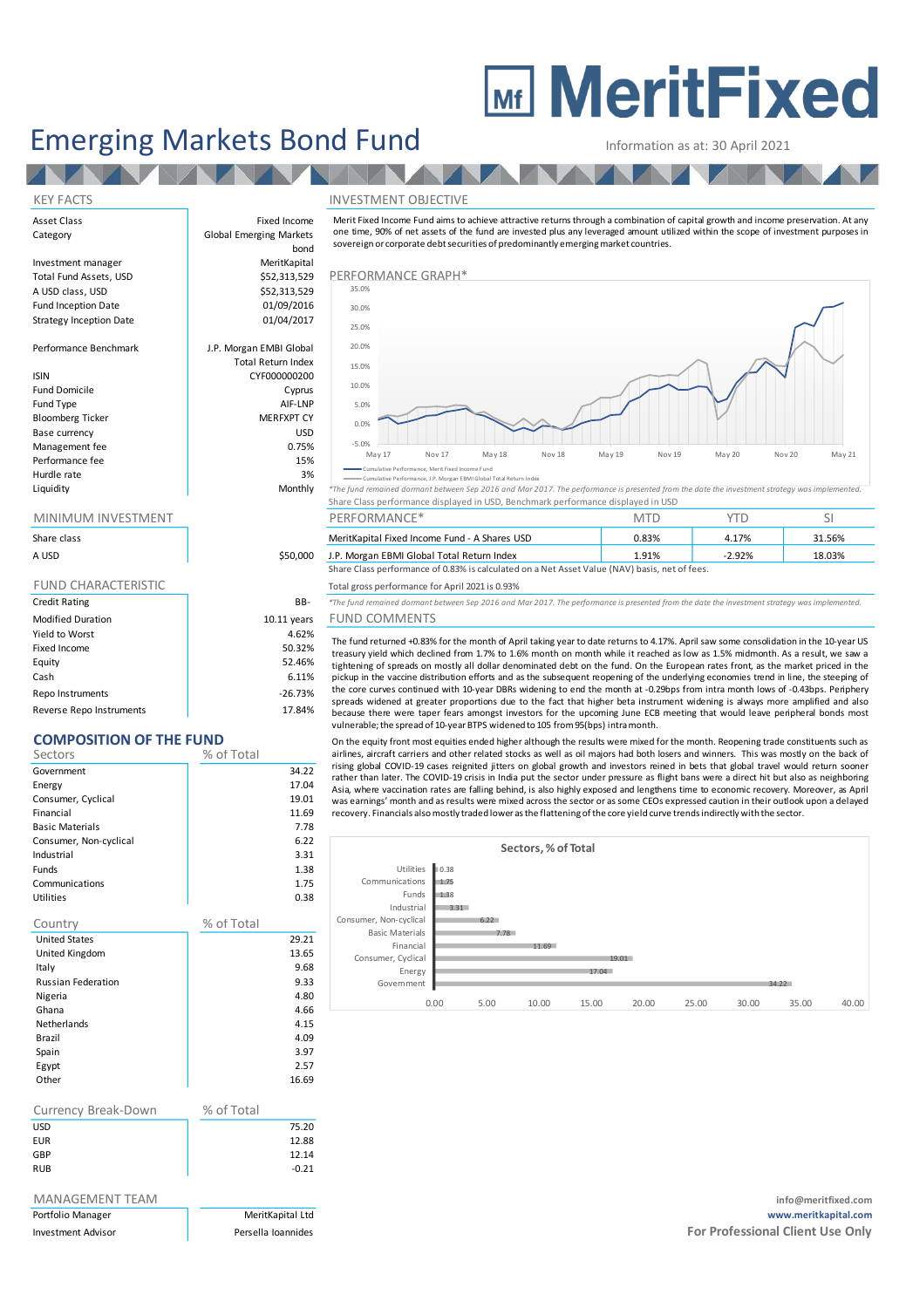# **MEDITE MeritFixed**

## Emerging Markets Bond Fund<br>
Information as at: 30 April 2021

#### KEY FACTS INVESTMENT OBJECTIVE

Asset Class **Fixed Income** 

Strategy Inception Date

Fund Domicile Fund Type Bloomberg Ticker Base currency Management fee Performance fee Hurdle rate

#### MINIMUM INVESTMENT

| Share class                |               |
|----------------------------|---------------|
| A USD                      | \$50,000      |
|                            |               |
| <b>FUND CHARACTERISTIC</b> |               |
| <b>Credit Rating</b>       | BB-           |
| <b>Modified Duration</b>   | $10.11$ years |
| Yield to Worst             | 4.62%         |
| Fixed Income               | 50.32%        |
| Equity                     | 52.46%        |
| Cash                       | 6.11%         |

Repo Instruments and the contract of the contract of the contract of the contract of the contract of the contract of the contract of the contract of the contract of the contract of the contract of the contract of the contr Reverse Repo Instruments 17.84%

## **COMPOSITION OF THE FUND**

| Sectors                   | % of Total |                  |
|---------------------------|------------|------------------|
| Government                |            | 34.22            |
| Energy                    |            | 17.04            |
| Consumer, Cyclical        |            | 19.01            |
| Financial                 |            | 11.69            |
| <b>Basic Materials</b>    |            | 7.78             |
| Consumer, Non-cyclical    |            | 6.22             |
| Industrial                |            | 3.31             |
| Funds                     |            | 1.38             |
| Communications            |            | 1.75             |
| Utilities                 |            | 0.38             |
| Country                   | % of Total |                  |
| <b>United States</b>      |            | 29.21            |
| United Kingdom            |            | 13.65            |
| Italy                     |            | 9.68             |
| <b>Russian Federation</b> |            | 9.33             |
| Nigeria                   |            | 4.80             |
| Ghana                     |            | 4.66             |
| Netherlands               |            | 4.15             |
| Brazil                    |            | 4.09             |
| Spain                     |            | 3.97             |
| Egypt                     |            | 2.57             |
| Other                     |            | 16.69            |
|                           | % of Total |                  |
| Currency Break-Down       |            |                  |
| USD                       |            | 75.20            |
| <b>EUR</b>                |            | 12.88            |
| GBP<br>RUB                |            | 12.14<br>$-0.21$ |
|                           |            |                  |

| MANAGEMENT TEAM |  |
|-----------------|--|
|                 |  |

| <b>PUILIUIIU IVIAIIAKEI</b> |  |
|-----------------------------|--|
| <b>Investment Advisor</b>   |  |

Category **Global Emerging Markets** bond Investment manager MeritKapital Total Fund Assets, USD **1988** S52,313,529 PERFORMANCE GRAPH<sup>\*</sup> A USD class, USD **Performance Graphic Contract Contract Contract Contract Contract Contract Contract Contract Contract Contract Contract Contract Contract Contract Contract Contract Contract Contract Contract Contract Cont** Fund Inception Date<br>
Strategy Inception Date<br>
01/04/2017 Performance Benchmark | J.P. Morgan EMBI Global Total Return Index ISIN CYF000000200 Merit Fixed Income Fund aims to achieve attractive returns through <sup>a</sup> combination of capital growth and income preservation. A t any one time, 90% of net assets of the fund are invested plus any leveraged amount utilized within the scope of investment purposes in sovereign or corporate debt securities of predominantly emerging market countries. 15.0% 20.0% 25.0% 30.0% 35.0%

| Total Return Index |
|--------------------|
| CYF000000200       |
| Cyprus             |
| AIF-LNP            |
| <b>MERFXPT CY</b>  |
| USD                |
| 0.75%              |
| 15%                |
| 3%                 |
| Monthly            |
|                    |



Cumulative Performance, Merit Fixed Income Fund

in the product of the manufather endomance, is horgan East and the annual of the state of the state of the state of the state of the state of the state of the state of the state of the state of the state of the state of th Share Class performance displayed in USD, Benchmark performance displayed in USD

| MINIMUM INVESTMENT |          | PERFORMANCE <sup>+</sup>                                                                      |       |          |        |
|--------------------|----------|-----------------------------------------------------------------------------------------------|-------|----------|--------|
| Share class        |          | MeritKapital Fixed Income Fund - A Shares USD                                                 | 0.83% | 4.17%    | 31.56% |
| A USD              | \$50,000 | J.P. Morgan EBMI Global Total Return Index                                                    | '.91% | $-2.92%$ | 18.03% |
|                    |          | Share Class performance of 0.83% is calculated on a Net Asset Value (NAV) basis, net of fees. |       |          |        |

#### Total gross performance for April 2021 is 0.93%

B- *\*The fund remained dormant between Sep 2016 and Mar 2017. The performance is presented from the date the investment strategy was implemented.* 

### ars FUND COMMENTS

The fund returned +0.83% for the month of April taking year to date returns to 4.17%. April saw some consolidation in the 10-year US treasury yield which declined from 1.7% to 1.6% month on month while it reached as low as 1.5% midmonth. As a result, we saw a tightening of spreads on mostly all dollar denominated debt on the fund. On the European rates front, as the market priced in the pickup in the vaccine distribution efforts and as the subsequent reopening of the underlying economies trend in line, the steeping of the core curves continued with 10-year DBRs widening to end the month at -0.29bps from intra month lows of -0.43bps. Periphery spreads widened at greater proportions due to the fact that higher beta instrument widening is always more amplified and also because there were taper fears amongst investors for the upcoming June ECB meeting that would leave peripheral bonds most vulnerable;the spread of 10-yearBTPS widened to 105 from95(bps) intramonth.

On the equity front most equities ended higher although the results were mixed for the month. Reopening trade constituents such as airlines, aircraft carriers and other related stocks as well as oil majors had both losers and winners. This was mostly on the back of rising global COVID-19 cases reignited jitters on global growth and investors reined in bets that global travel would return sooner rather than later. The COVID-19 crisis in India put the sector under pressure as flight bans were <sup>a</sup> direct hit but also as neighboring Asia, where vaccination rates are falling behind, is also highly exposed and lengthens time to economic recovery. Moreover, as April was earnings' month and as results were mixed across the sector or as some CEOs expressed caution in their outlook upon a delayed recovery. Financials alsomostly traded lowerasthe flattening ofthe core yield curve trendsindirectly with the sector.

|                        |      |      | Sectors, % of Total |       |       |       |       |       |       |
|------------------------|------|------|---------------------|-------|-------|-------|-------|-------|-------|
| Utilities              | 0.38 |      |                     |       |       |       |       |       |       |
| Communications         | 1.75 |      |                     |       |       |       |       |       |       |
| Funds                  | 1.38 |      |                     |       |       |       |       |       |       |
| Industrial             | 3.31 |      |                     |       |       |       |       |       |       |
| Consumer, Non-cyclical |      | 6.22 |                     |       |       |       |       |       |       |
| <b>Basic Materials</b> |      | 7.78 |                     |       |       |       |       |       |       |
| Financial              |      |      | 11.69               |       |       |       |       |       |       |
| Consumer, Cyclical     |      |      |                     | 19.01 |       |       |       |       |       |
| Energy                 |      |      |                     | 17.04 |       |       |       |       |       |
| Government             |      |      |                     |       |       |       | 34.22 |       |       |
|                        | 0.00 | 5.00 | 10.00               | 15.00 | 20.00 | 25.00 | 30.00 | 35.00 | 40.00 |
|                        |      |      |                     |       |       |       |       |       |       |

MANAGEMENT TEAM **info@meritfixed.com** Portfolio Manager MeritKapital Ltd **www.meritkapital.com Investment Advisor Persella Ioannides For Professional Client Use Only For Professional Client Use Only**